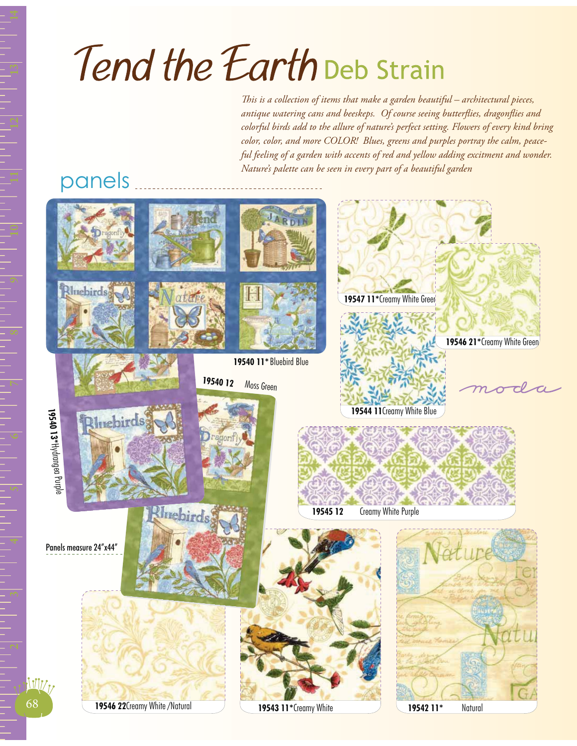## Tend the Earth Deb Strain

*This is a collection of items that make a garden beautiful – architectural pieces, antique watering cans and beeskeps. Of course seeing butterflies, dragonflies and colorful birds add to the allure of nature's perfect setting. Flowers of every kind bring color, color, and more COLOR! Blues, greens and purples portray the calm, peaceful feeling of a garden with accents of red and yellow adding excitment and wonder. Nature's palette can be seen in every part of a beautiful garden*

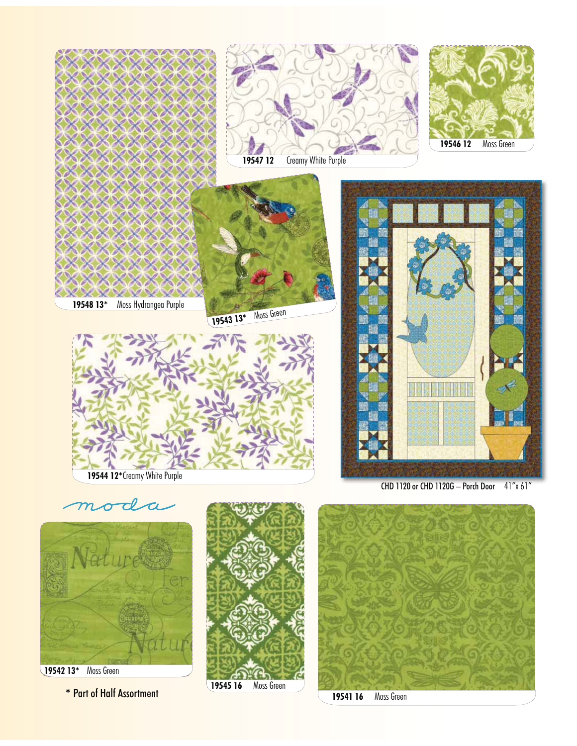

**\*** Part of Half Assortment

**19545 16** Moss Green

**19541 16** Moss Green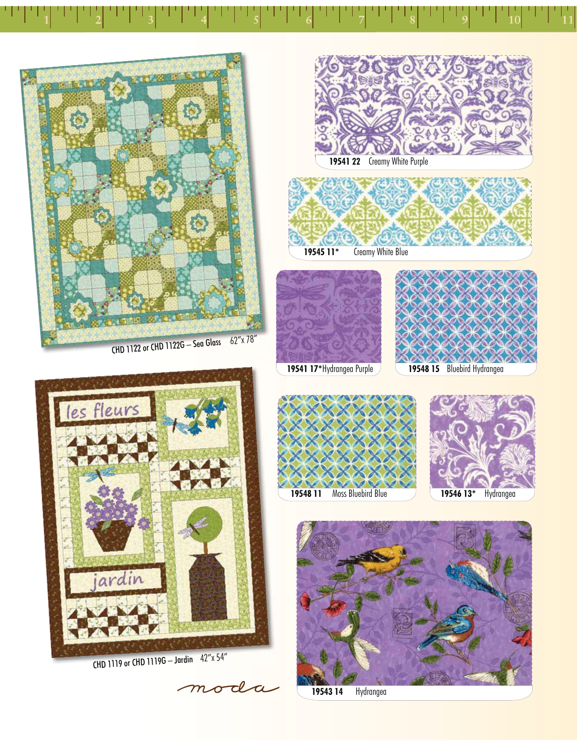











CHD 1119 or CHD 1119G – Jardin 42"x 54"

moda